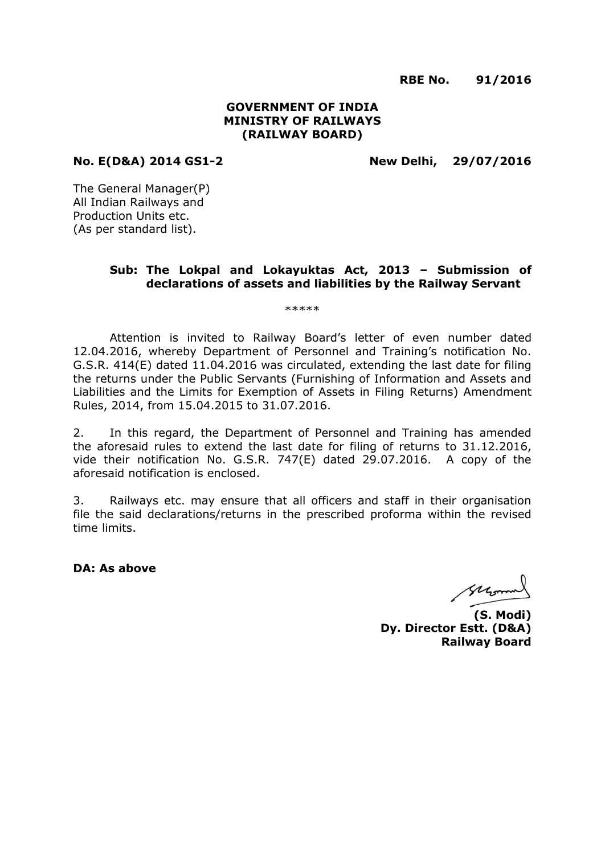**RBE No. 91/2016**

### **GOVERNMENT OF INDIA MINISTRY OF RAILWAYS (RAILWAY BOARD)**

**No. E(D&A) 2014 GS1-2 New Delhi, 29/07/2016**

The General Manager(P) All Indian Railways and Production Units etc. (As per standard list).

## **Sub: The Lokpal and Lokayuktas Act, 2013 – Submission of declarations of assets and liabilities by the Railway Servant**

\*\*\*\*\*

Attention is invited to Railway Board's letter of even number dated 12.04.2016, whereby Department of Personnel and Training's notification No. G.S.R. 414(E) dated 11.04.2016 was circulated, extending the last date for filing the returns under the Public Servants (Furnishing of Information and Assets and Liabilities and the Limits for Exemption of Assets in Filing Returns) Amendment Rules, 2014, from 15.04.2015 to 31.07.2016.

2. In this regard, the Department of Personnel and Training has amended the aforesaid rules to extend the last date for filing of returns to 31.12.2016, vide their notification No. G.S.R. 747(E) dated 29.07.2016. A copy of the aforesaid notification is enclosed.

3. Railways etc. may ensure that all officers and staff in their organisation file the said declarations/returns in the prescribed proforma within the revised time limits.

**DA: As above**

second

**(S. Modi) Dy. Director Estt. (D&A) Railway Board**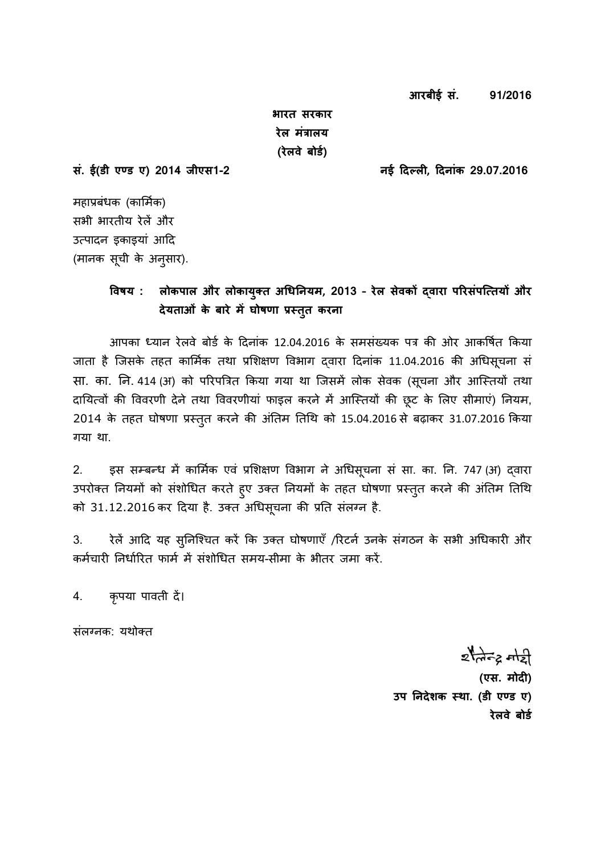**आरबीई सं. 91/2016**

**भारत सरकार रेल मंत्रालय (रेलवे बोर्ड)** 

**सं. ई(र्ी एण् र् ए) 2014 जीएस1-2 नई दिल् लग, दिनांक 29.07.2016**

महाप्रबंधक (कार्मिक) सभी भारतीय रेलें और उत्पादन इकाइयां आदि (मानक सूची के अनुसार).

# **ववषय : लोकपाल और लोकायक्ुत धिनिनयम, 2013 – रेल सेवकों द्वारा पररसंपत्ततयों और िेयताओं के बारे मेंघोषणा प्रसतत क ु रना**

आपका ध्यान रेलवे बोर्ड के दिनांक 12.04.2016 के समसंख्यक पत्र की ओर आकर्षित किया जाता है जिसके तहत कार्मिक तथा प्रशिक्षण विभाग दवारा दिनांक 11.04.2016 की अधिसूचना सं सा. का. नि. 414 (अ) को परिपत्रित किया गया था जिसमें लोक सेवक (सूचना और आस्तियों तथा दायित्वों की विवरणी देने तथा विवरणीयां फाइल करने में आस्तियों की छूट के लिए सीमाएं) नियम, 2014 के तहत घोषणा प्रस्तुत करने की अंतिम तिथि को 15.04.2016 से बढ़ाकर 31.07.2016 किया गया था.

2. इस सम्बन्ध में कार्मिक एवं प्रशिक्षण विभाग ने अधिसूचना सं सा. का. नि. 747 (अ) द्वारा उपरोक्त नियमों को संशोधित करते हुए उक्त नियमों के तहत घोषणा प्रस्तुत करने की अंतिम तिथि को 31.12.2016 कर दिया है. उक्त अधिसूचना की प्रति संलग्न है.

3. रेलें आदि यह सुनिश्चित करें कि उक्त घोषणाएँ /रिटर्न उनके संगठन के सभी अधिकारी और कर्मचारी निर्धारित फार्म में संशोधित समय-सीमा के भीतर जमा करें.

4. कृपया पावती दें।

संलग्नक: यथोक्त

 $z$  and  $z$  and

**(एस. मोिग)**  उप निदेशक स्था. (डी एण्ड ए) **रेलवे बोर्ड**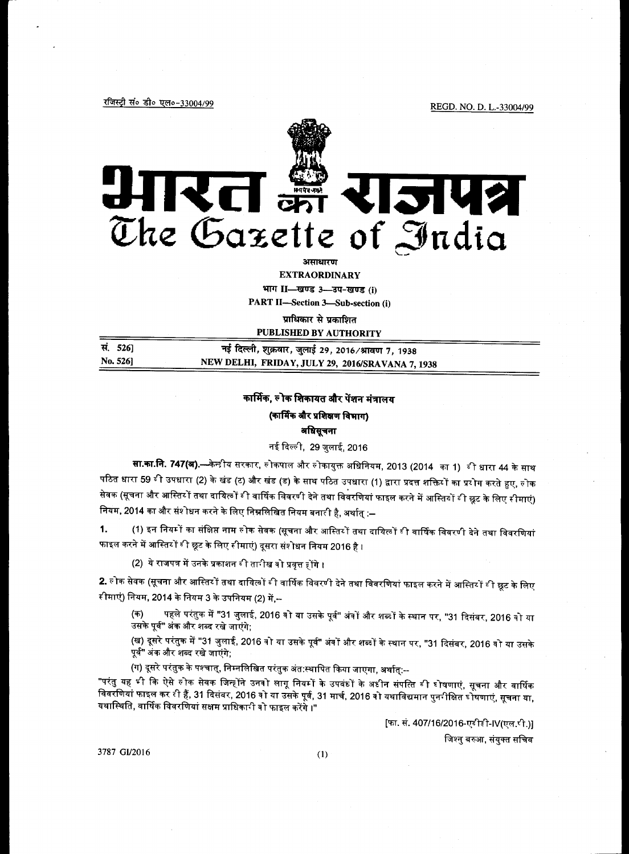रजिस्ट्री सं० डी० एल०-33004/99

REGD. NO. D. L.-33004/99



भाग II-खण्ड 3-उप-खण्ड (j)

**PART II-Section 3-Sub-section (i)** 

प्राधिकार से प्रकाशित PURLISHED RV AUTHORITY

| सं. 5261 | नई दिल्ली, शुक्रवार, जुलाई 29, 2016 ∕ श्रावण 7, 1938 |  |
|----------|------------------------------------------------------|--|
| No. 5261 | NEW DELHI, FRIDAY, JULY 29, 2016/SRAVANA 7, 1938     |  |

## कार्मिक, लोक शिकायत और पेंशन मंत्रालय

#### (कार्मिक और प्रशिक्षण विभाग) अधिसूचना

नई दिल्ली, 29 जुलाई, 2016

**सा.का.नि. 747(अ).—**केन्डीय सरकार, लोकपाल और लोकायुक्त अधिनियम, 2013 (2014 का 1) बी धारा 44 के साथ पठित धारा 59 बी उपधारा (2) के खंड (ट) और खंड (ड) के साथ पठित उपधारा (1) द्वारा प्रदत्त शक्तियों का प्रयोग करते हुए, लोक सेवक (सूचना और आस्तिर्गे तथा दायित्वों बी वार्षिक विवरणी देने तथा विवरणियां फाइल करने में आस्तियों बी छूट के लिए सीमाएं) नियम, 2014 का और संशोधन करने के लिए निम्नलिखित नियम बनारी है, अर्थात् :–

(1) इन नियमों का संक्षिप्त नाम लोक सेवक (सूचना और आस्तियों तथा दायित्वों बी वार्षिक विवरणी देने तथा विवरणियां  $1.$ फाइल करने में आस्तिर्गे बी छूट के लिए सीमाएं) दूसरा संशोधन नियम 2016 है ।

(2) ये राजपत्र में उनके प्रकाशन बी तारीख वो प्रवृत्त होंगे ।

2. लोक सेवक (सूचना और आस्तिरों तथा दायित्वों बी वार्षिक विवरणी देने तथा विवरणियां फाइल करने में आस्तिरों बी छूट के लिए रीमाएं) नियम, 2014 के नियम 3 के उपनियम (2) में,--

पहले परंतुक में "31 जुलाई, 2016 वो या उसके पूर्व" अंवों और शब्दों के स्थान पर, "31 दिसंबर, 2016 वो या (ক) उसके पूर्व" अंक और शब्द रखे जाएंगे;

(ख) दूसरे परंतुक में "31 जुलाई, 2016 वो या उसके पूर्व" अंवों और शब्दों के स्थान पर, "31 दिसंबर, 2016 वो या उसके पूर्व" अंक और शब्द रखे जाएंगे;

(ग) दूसरे परंतुक के पश्चात्, निम्नलिखित परंतुक अंत:स्थापित किया जाएगा, अर्थात्:--

"परंतु यह भी कि ऐसे लोक सेवक जिन्होंने उनवो लागू नियमों के उपबंधों के अधीन संपत्ति बी घोषणाएं, सूचना और वार्षिक विवरणियां फाइल कर री हैं, 31 दिसंबर, 2016 वो या उसके पूर्व, 31 मार्च, 2016 वो यथाविद्यमान पुनरीक्षित डोषणाएं, सूचना या, यथास्थिति, वार्षिक विवरणियां सक्षम प्राधिकानी वो फाइल करेंगे ।"

[फा. सं. 407/16/2016-एटीडी-IV(एल.पी.)]

जिश्नु बरुआ, संयुक्त सचिव

3787 GI/2016